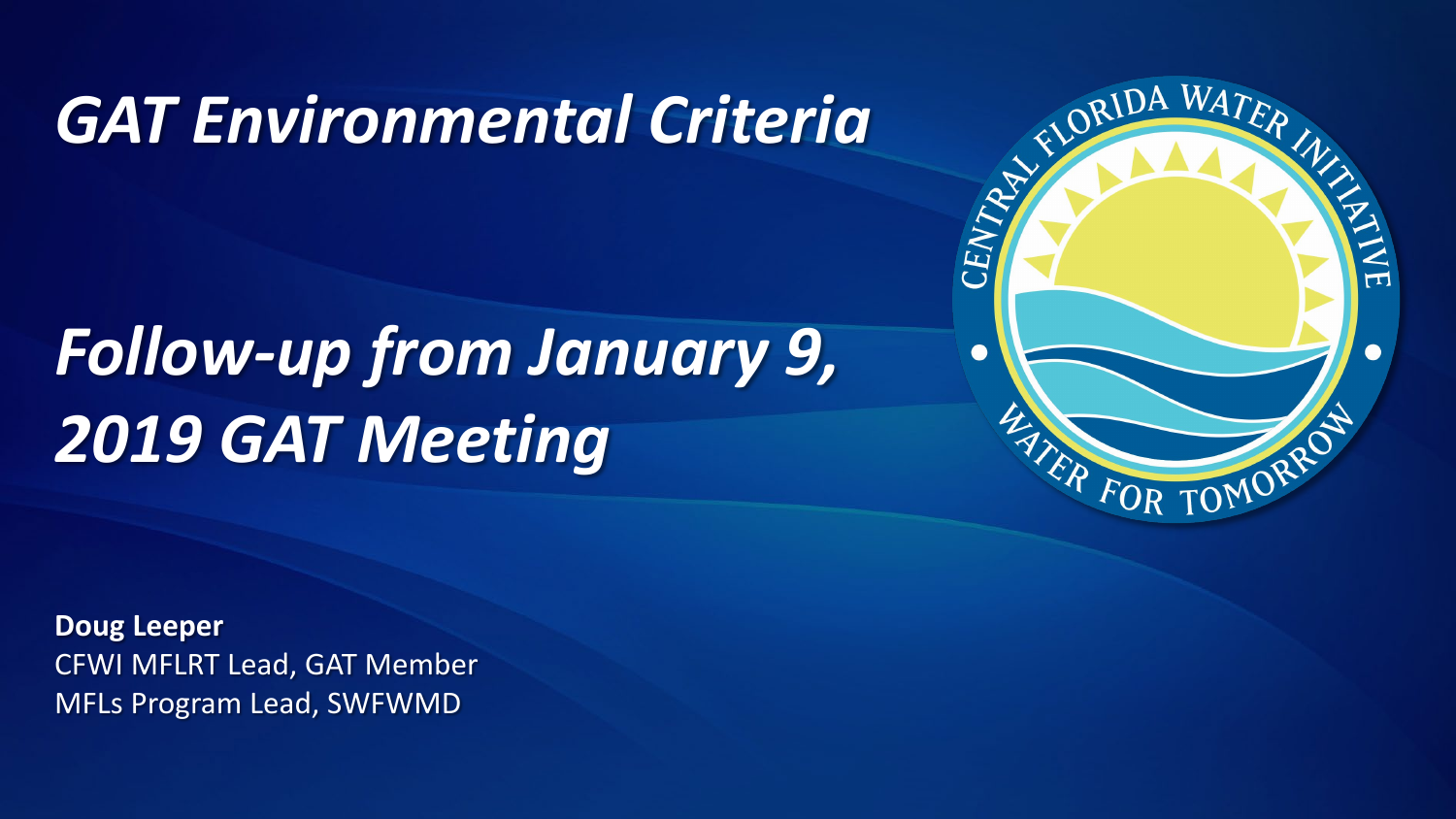# *GAT Environmental Criteria*

# *Follow-up from January 9, 2019 GAT Meeting*



**Doug Leeper** CFWI MFLRT Lead, GAT Member MFLs Program Lead, SWFWMD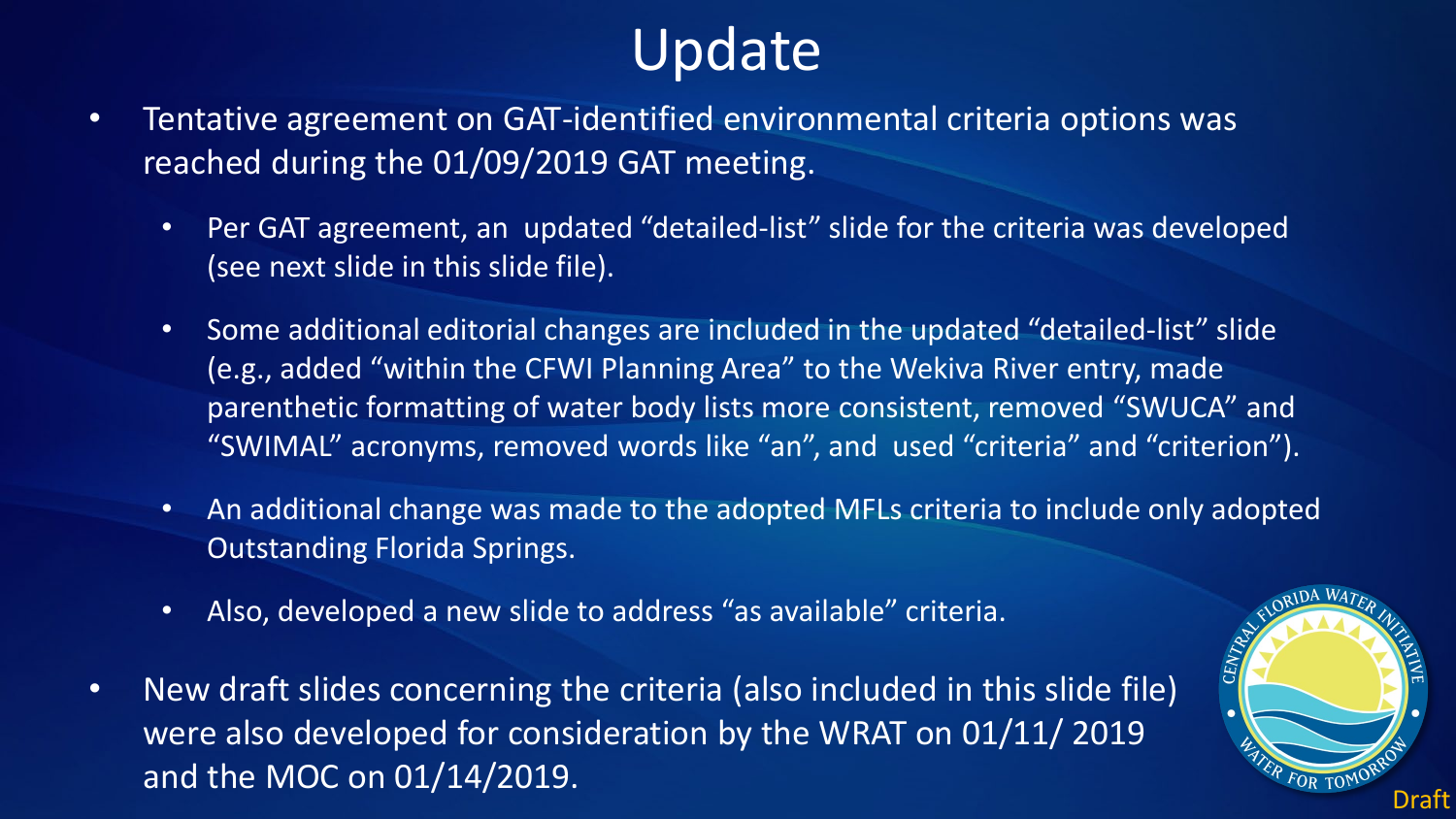## Update

- Tentative agreement on GAT-identified environmental criteria options was reached during the 01/09/2019 GAT meeting.
	- Per GAT agreement, an updated "detailed-list" slide for the criteria was developed (see next slide in this slide file).
	- Some additional editorial changes are included in the updated "detailed-list" slide (e.g., added "within the CFWI Planning Area" to the Wekiva River entry, made parenthetic formatting of water body lists more consistent, removed "SWUCA" and "SWIMAL" acronyms, removed words like "an", and used "criteria" and "criterion").
	- An additional change was made to the adopted MFLs criteria to include only adopted Outstanding Florida Springs.
	- Also, developed a new slide to address "as available" criteria.
- New draft slides concerning the criteria (also included in this slide file) were also developed for consideration by the WRAT on 01/11/ 2019 and the MOC on 01/14/2019.  $\frac{1}{2}$  and the MOC on 01/14/2019.

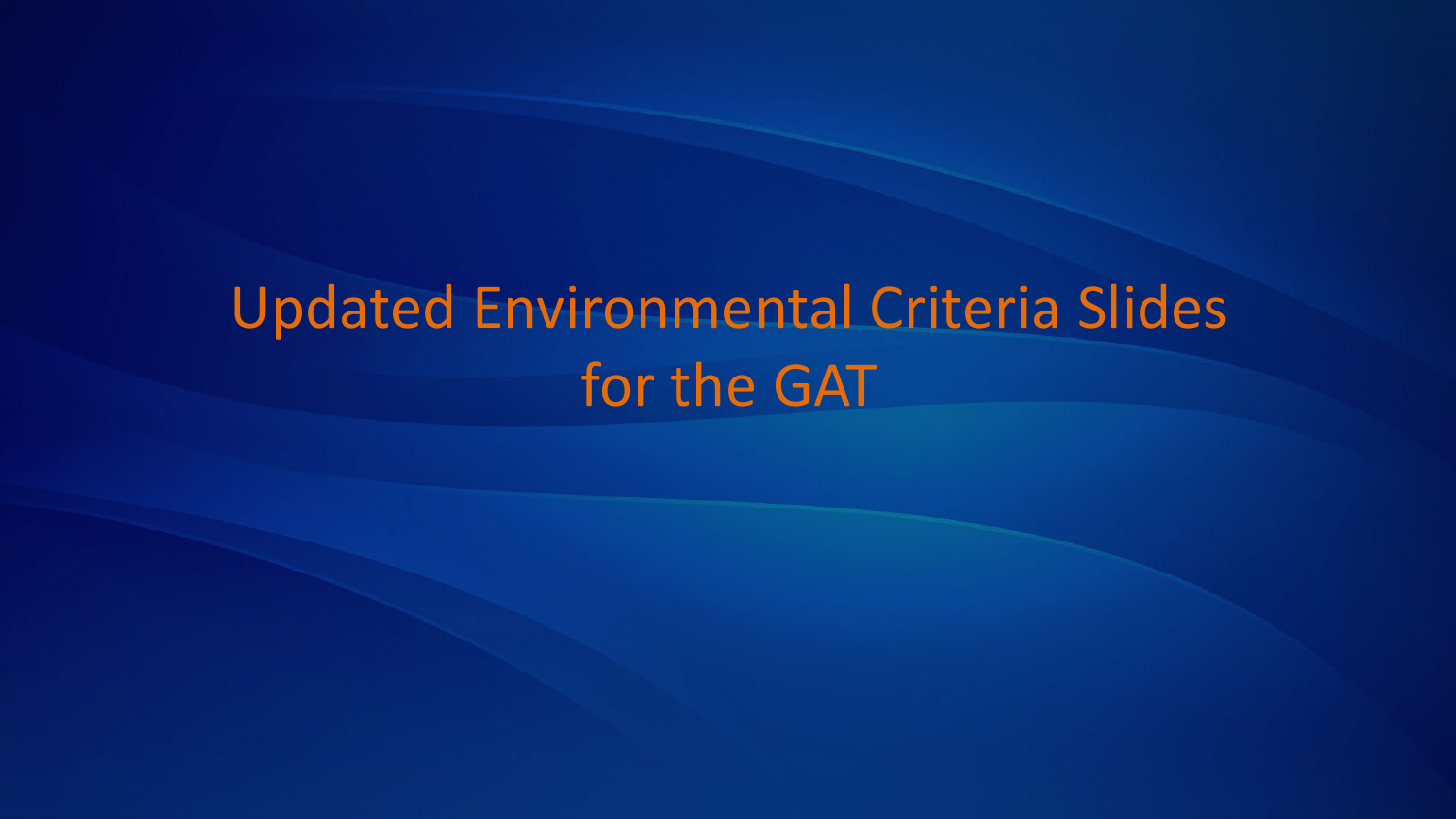# Updated Environmental Criteria Slides for the GAT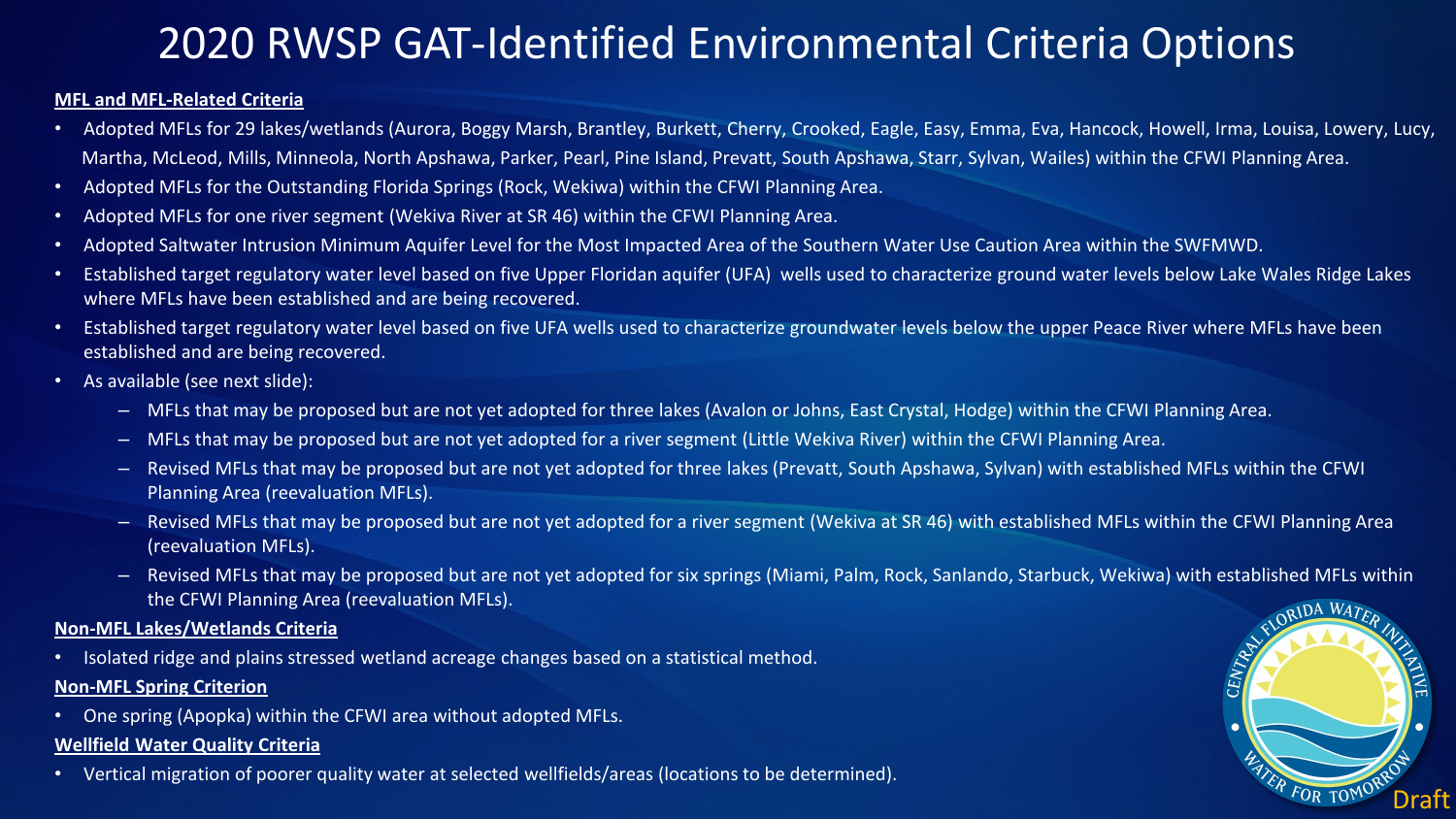## 2020 RWSP GAT-Identified Environmental Criteria Options

### **MFL and MFL-Related Criteria**

- Adopted MFLs for 29 lakes/wetlands (Aurora, Boggy Marsh, Brantley, Burkett, Cherry, Crooked, Eagle, Easy, Emma, Eva, Hancock, Howell, Irma, Louisa, Lowery, Lucy, Martha, McLeod, Mills, Minneola, North Apshawa, Parker, Pearl, Pine Island, Prevatt, South Apshawa, Starr, Sylvan, Wailes) within the CFWI Planning Area.
- Adopted MFLs for the Outstanding Florida Springs (Rock, Wekiwa) within the CFWI Planning Area.
- Adopted MFLs for one river segment (Wekiva River at SR 46) within the CFWI Planning Area.
- Adopted Saltwater Intrusion Minimum Aquifer Level for the Most Impacted Area of the Southern Water Use Caution Area within the SWFMWD.
- Established target regulatory water level based on five Upper Floridan aquifer (UFA) wells used to characterize ground water levels below Lake Wales Ridge Lakes where MFLs have been established and are being recovered.
- Established target regulatory water level based on five UFA wells used to characterize groundwater levels below the upper Peace River where MFLs have been established and are being recovered.
- As available (see next slide):
	- MFLs that may be proposed but are not yet adopted for three lakes (Avalon or Johns, East Crystal, Hodge) within the CFWI Planning Area.
	- MFLs that may be proposed but are not yet adopted for a river segment (Little Wekiva River) within the CFWI Planning Area.
	- Revised MFLs that may be proposed but are not yet adopted for three lakes (Prevatt, South Apshawa, Sylvan) with established MFLs within the CFWI Planning Area (reevaluation MFLs).
	- Revised MFLs that may be proposed but are not yet adopted for a river segment (Wekiva at SR 46) with established MFLs within the CFWI Planning Area (reevaluation MFLs).
	- Revised MFLs that may be proposed but are not yet adopted for six springs (Miami, Palm, Rock, Sanlando, Starbuck, Wekiwa) with established MFLs within the CFWI Planning Area (reevaluation MFLs).

#### **Non-MFL Lakes/Wetlands Criteria**

• Isolated ridge and plains stressed wetland acreage changes based on a statistical method.

### **Non-MFL Spring Criterion**

• One spring (Apopka) within the CFWI area without adopted MFLs.

#### **Wellfield Water Quality Criteria**

• Vertical migration of poorer quality water at selected wellfields/areas (locations to be determined).

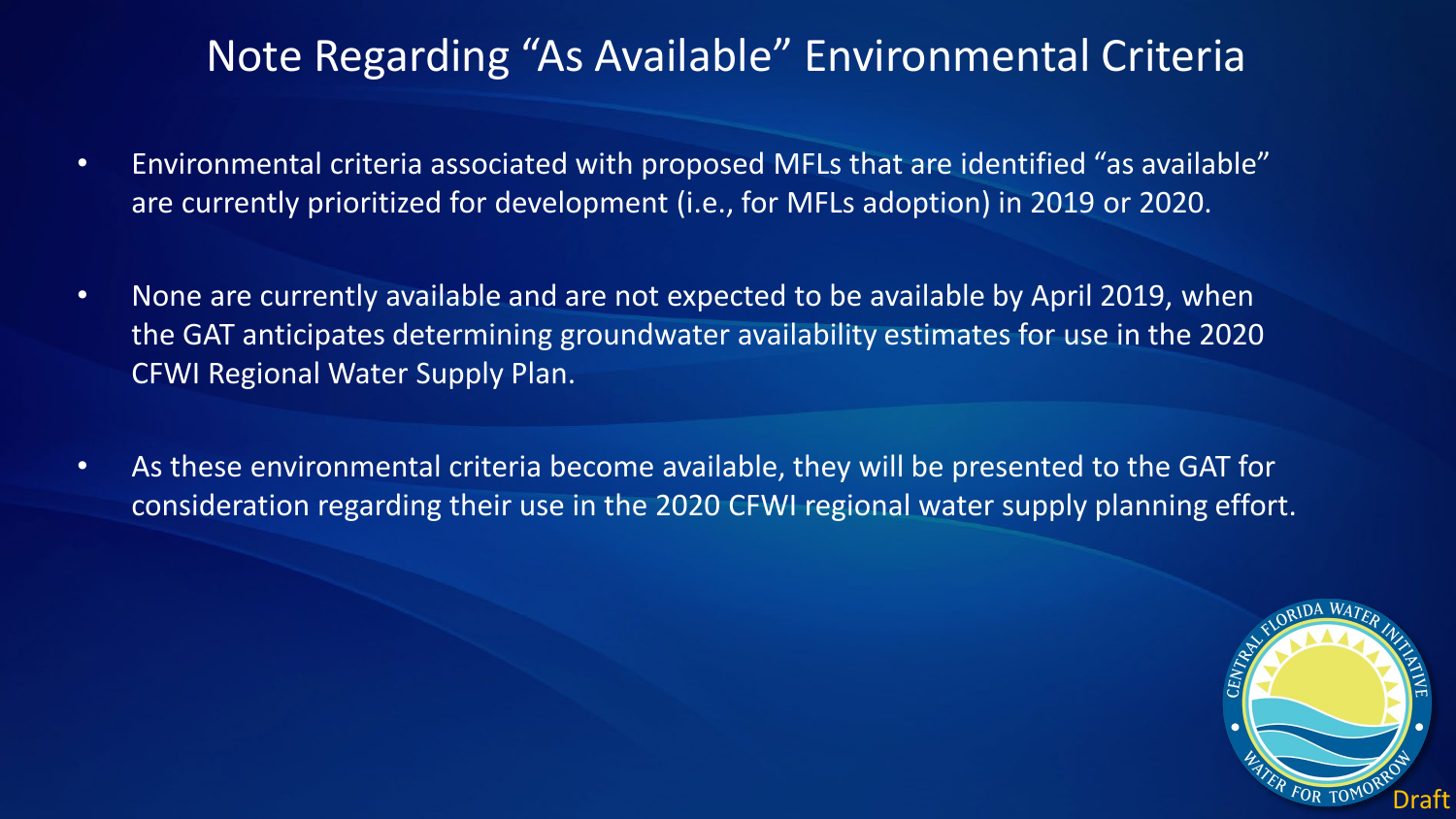## Note Regarding "As Available" Environmental Criteria

- Environmental criteria associated with proposed MFLs that are identified "as available" are currently prioritized for development (i.e., for MFLs adoption) in 2019 or 2020.
- None are currently available and are not expected to be available by April 2019, when the GAT anticipates determining groundwater availability estimates for use in the 2020 CFWI Regional Water Supply Plan.
- As these environmental criteria become available, they will be presented to the GAT for consideration regarding their use in the 2020 CFWI regional water supply planning effort.

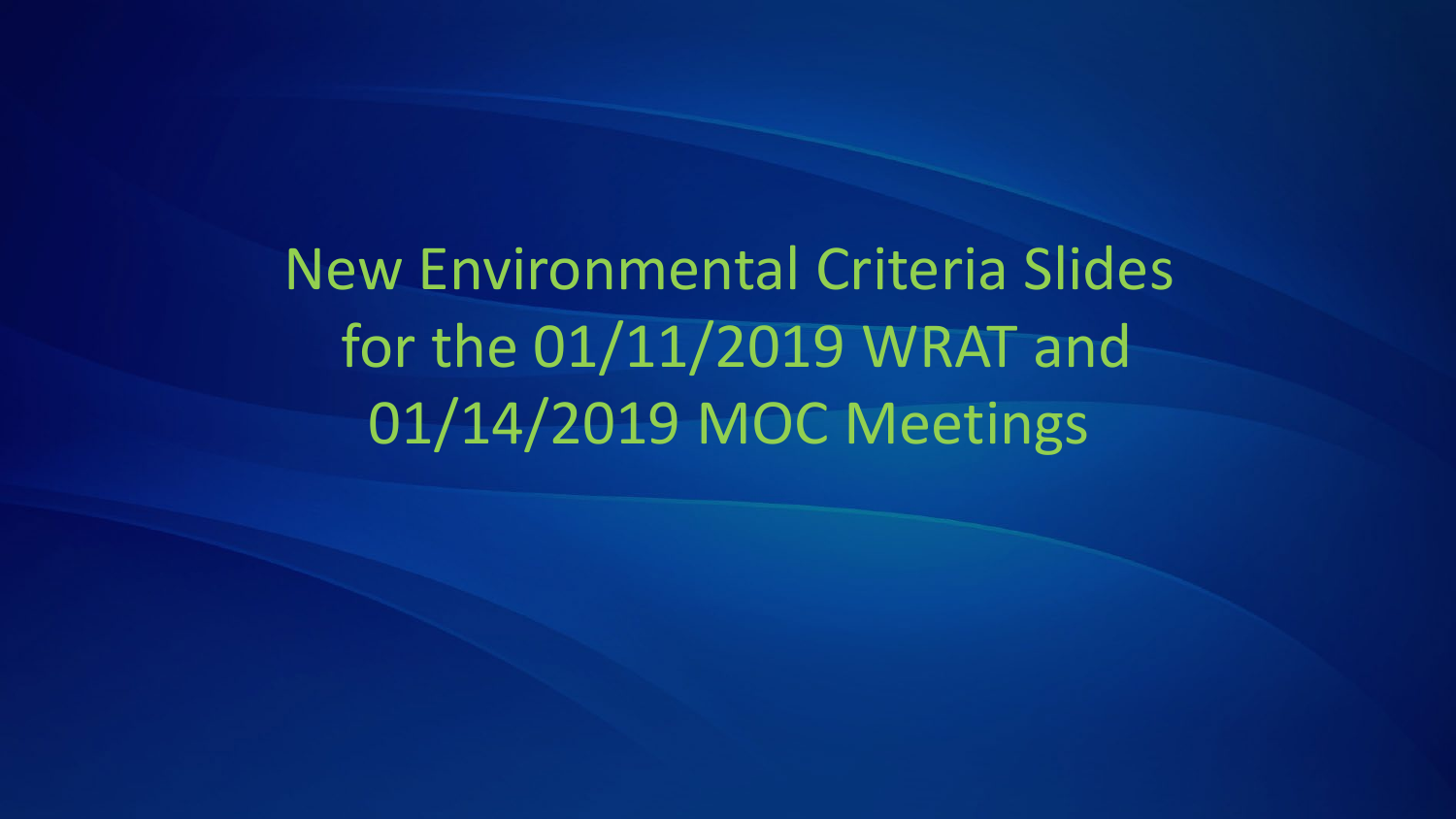New Environmental Criteria Slides for the 01/11/2019 WRAT and 01/14/2019 MOC Meetings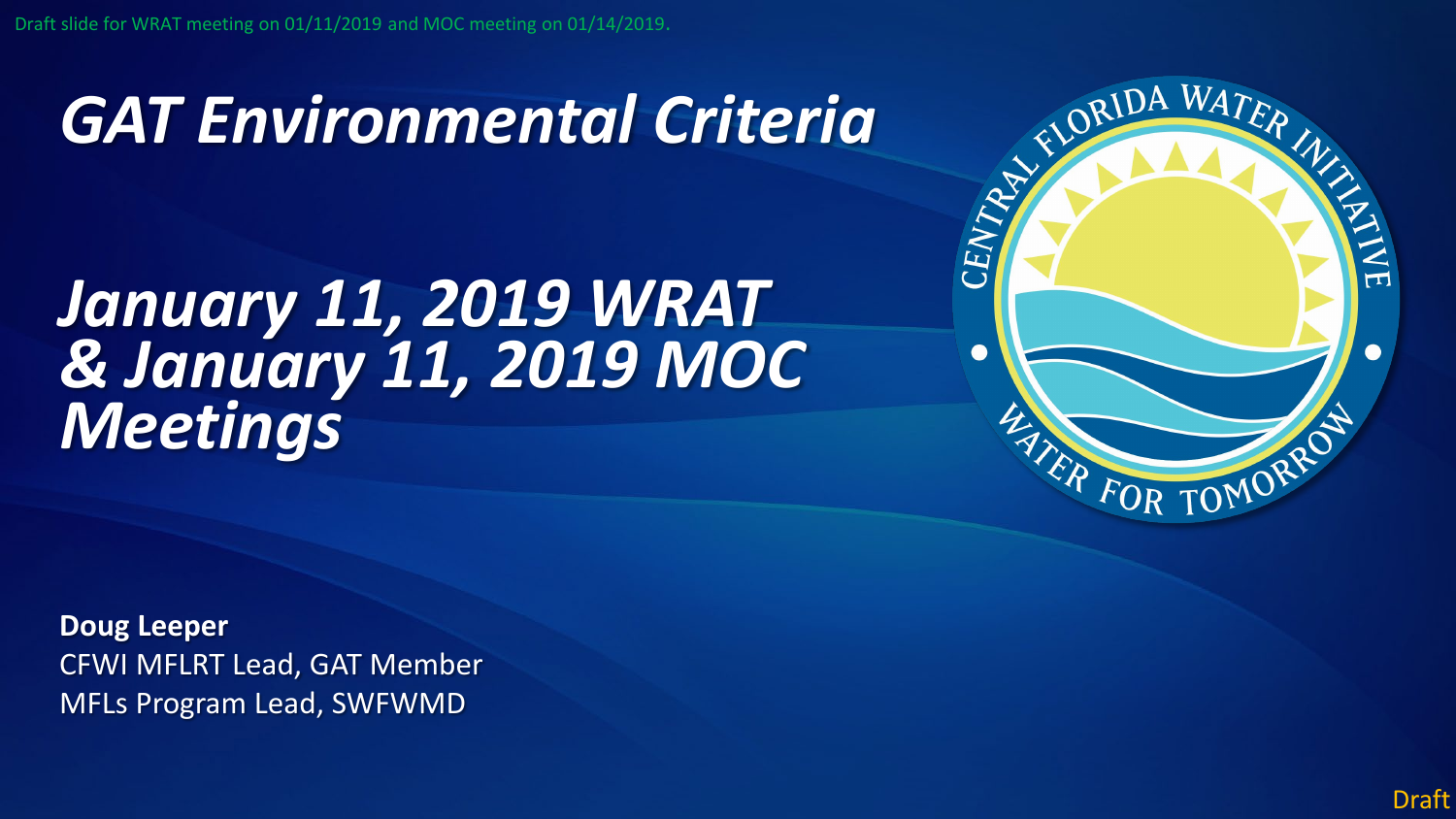# *GAT Environmental Criteria*

## *January 11, 2019 WRAT & January 11, 2019 MOC Meetings*



**Doug Leeper** CFWI MFLRT Lead, GAT Member MFLs Program Lead, SWFWMD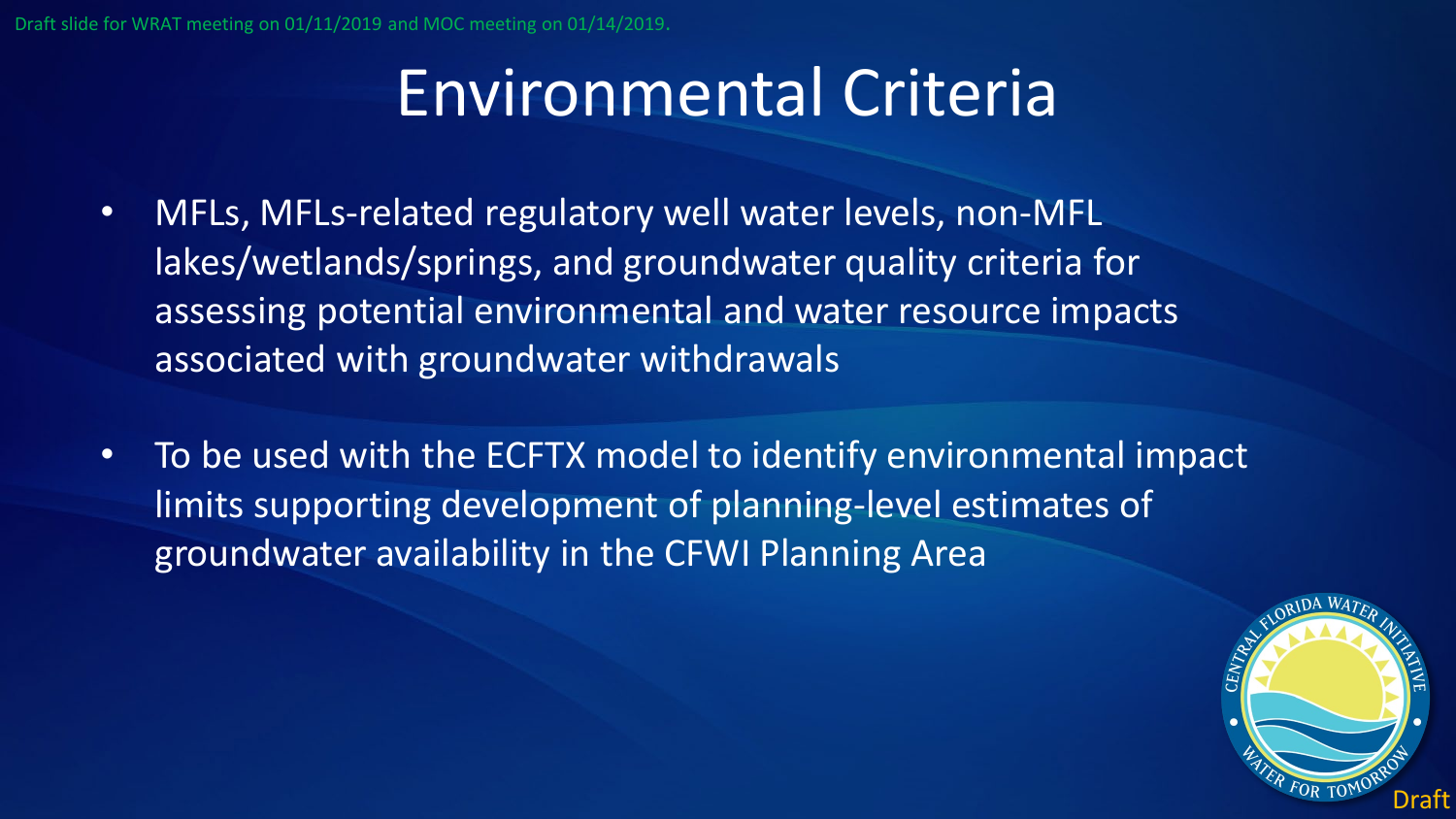# Environmental Criteria

- MFLs, MFLs-related regulatory well water levels, non-MFL lakes/wetlands/springs, and groundwater quality criteria for assessing potential environmental and water resource impacts associated with groundwater withdrawals
- To be used with the ECFTX model to identify environmental impact limits supporting development of planning-level estimates of groundwater availability in the CFWI Planning Area

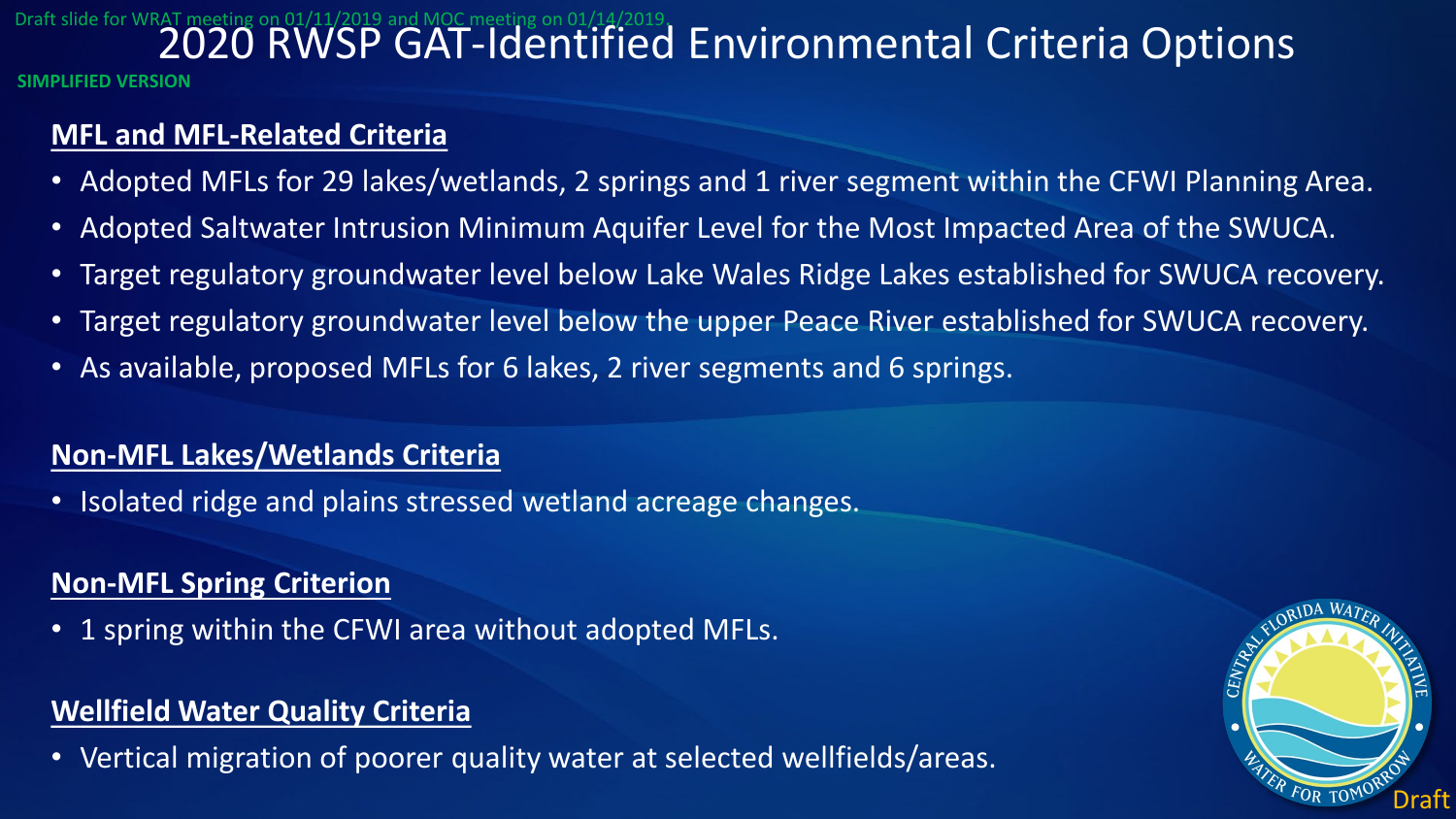# Draft slide for WRAT meeting on 01/11/2019 and MOC meeting on 01/14/2019.  $\blacksquare$  Environmental Criteria Options

**SIMPLIFIED VERSION**

## **MFL and MFL-Related Criteria**

- Adopted MFLs for 29 lakes/wetlands, 2 springs and 1 river segment within the CFWI Planning Area.
- Adopted Saltwater Intrusion Minimum Aquifer Level for the Most Impacted Area of the SWUCA.
- Target regulatory groundwater level below Lake Wales Ridge Lakes established for SWUCA recovery.
- Target regulatory groundwater level below the upper Peace River established for SWUCA recovery.
- As available, proposed MFLs for 6 lakes, 2 river segments and 6 springs.

## **Non-MFL Lakes/Wetlands Criteria**

• Isolated ridge and plains stressed wetland acreage changes.

## **Non-MFL Spring Criterion**

• 1 spring within the CFWI area without adopted MFLs.

## **Wellfield Water Quality Criteria**

• Vertical migration of poorer quality water at selected wellfields/areas.

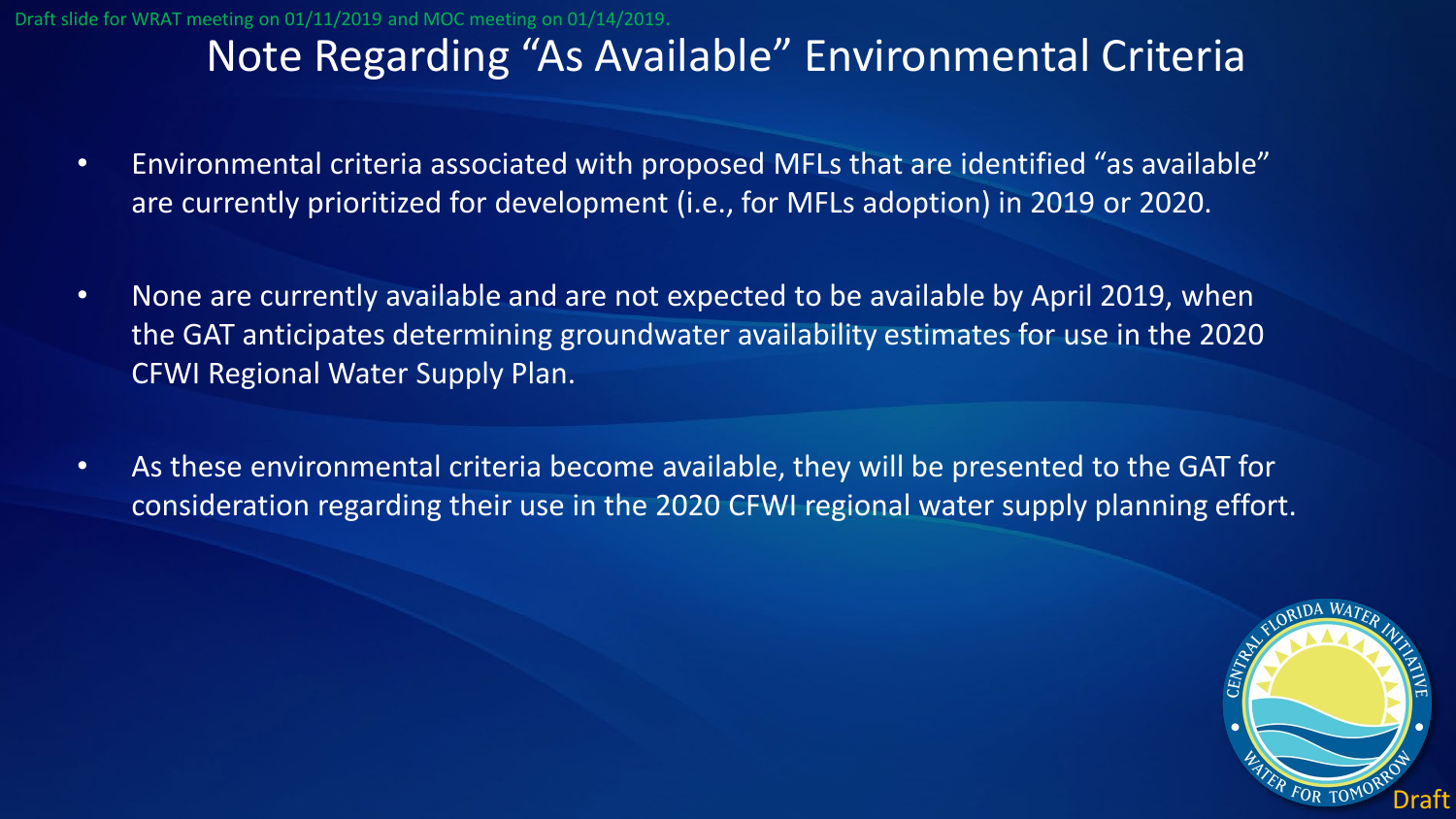## Note Regarding "As Available" Environmental Criteria

- Environmental criteria associated with proposed MFLs that are identified "as available" are currently prioritized for development (i.e., for MFLs adoption) in 2019 or 2020.
- None are currently available and are not expected to be available by April 2019, when the GAT anticipates determining groundwater availability estimates for use in the 2020 CFWI Regional Water Supply Plan.
- As these environmental criteria become available, they will be presented to the GAT for consideration regarding their use in the 2020 CFWI regional water supply planning effort.

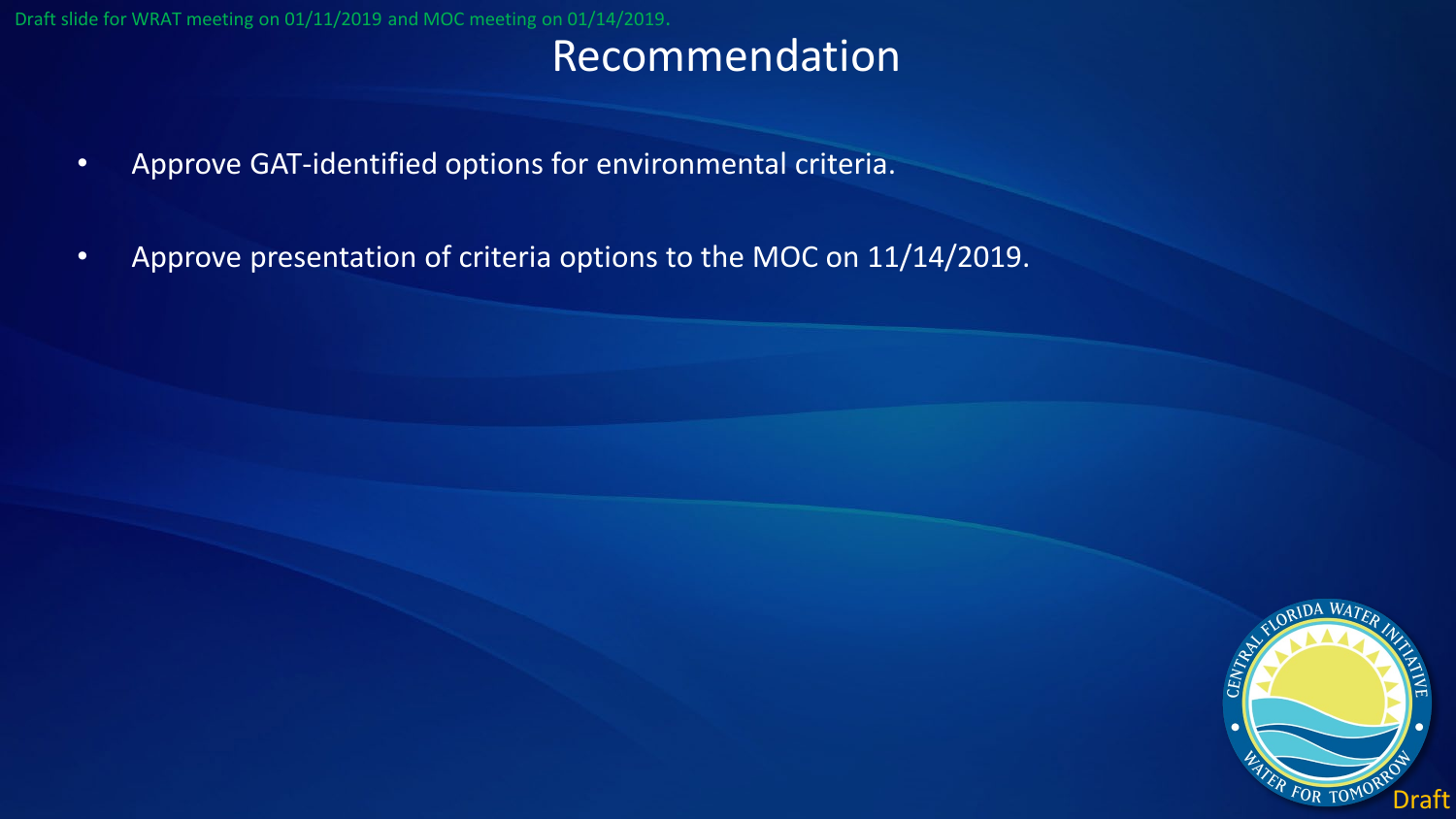Draft slide for WRAT meeting on 01/11/2019 and MOC meeting on 01/14/2019.

## Recommendation

- Approve GAT-identified options for environmental criteria.
- Approve presentation of criteria options to the MOC on 11/14/2019.

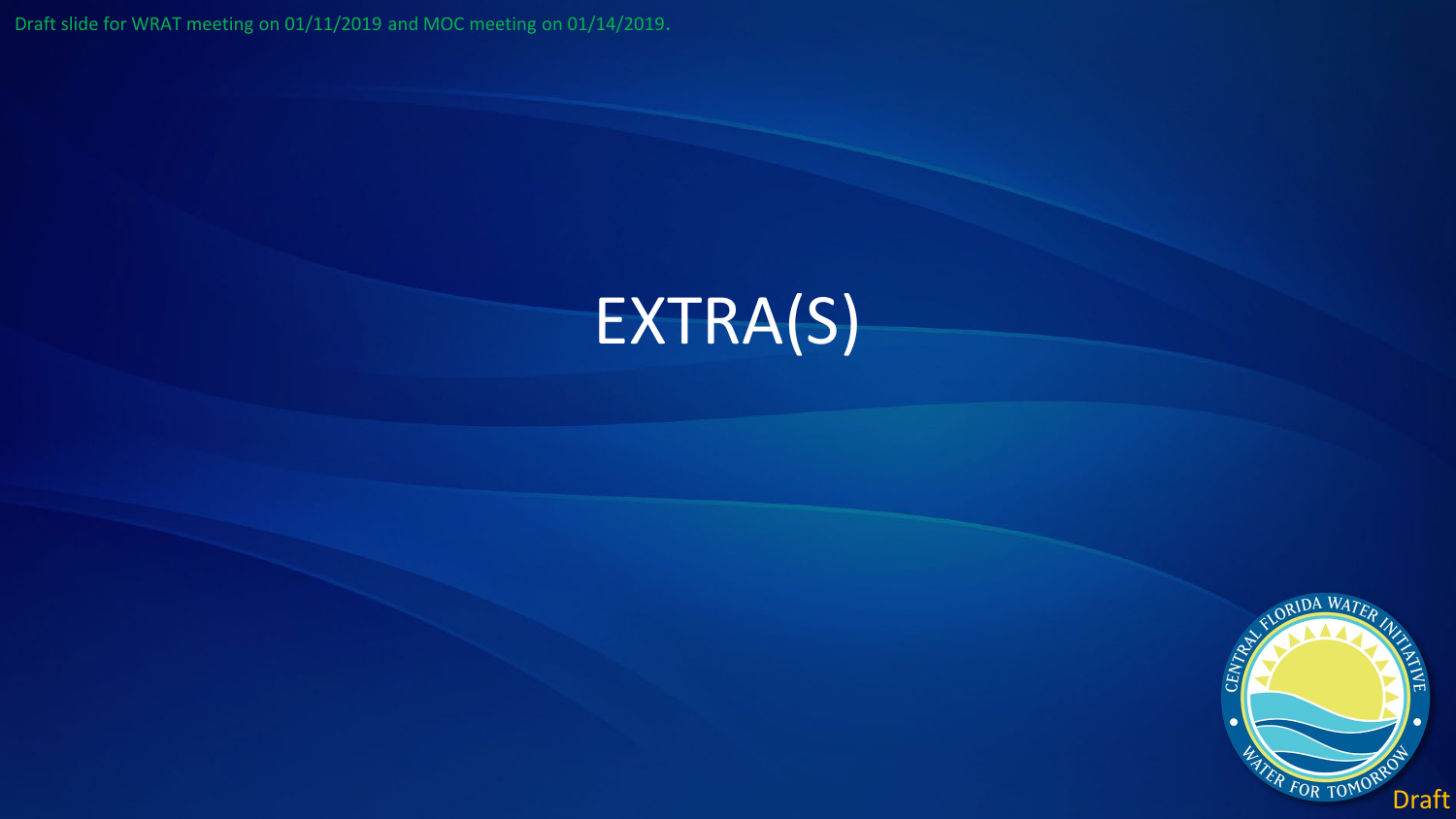Draft slide for WRAT meeting on 01/11/2019 and MOC meeting on 01/14/2019.